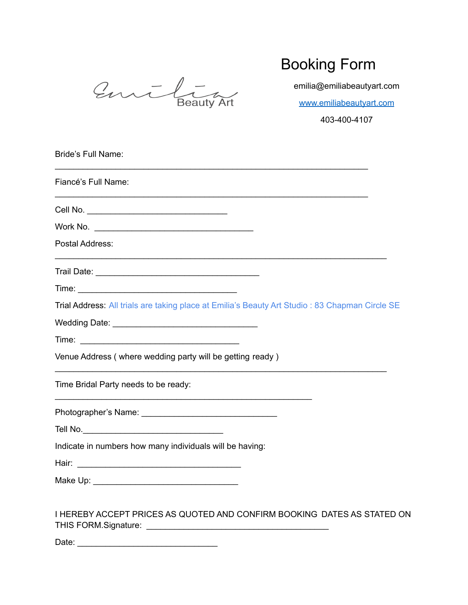Emilian

# Booking Form

emilia@emiliabeautyart.com

[www.emiliabeautyart.com](http://www.emiliabeautyart.com)

403-400-4107

| <b>Bride's Full Name:</b>                                                                      |
|------------------------------------------------------------------------------------------------|
| Fiancé's Full Name:                                                                            |
|                                                                                                |
|                                                                                                |
| Postal Address:                                                                                |
|                                                                                                |
|                                                                                                |
| Trial Address: All trials are taking place at Emilia's Beauty Art Studio: 83 Chapman Circle SE |
|                                                                                                |
|                                                                                                |
| Venue Address (where wedding party will be getting ready)                                      |
| Time Bridal Party needs to be ready:                                                           |
|                                                                                                |
|                                                                                                |
| Indicate in numbers how many individuals will be having:                                       |
|                                                                                                |
|                                                                                                |
| I HEREBY ACCEPT PRICES AS QUOTED AND CONFIRM BOOKING DATES AS STATED ON                        |

Date: \_\_\_\_\_\_\_\_\_\_\_\_\_\_\_\_\_\_\_\_\_\_\_\_\_\_\_\_\_\_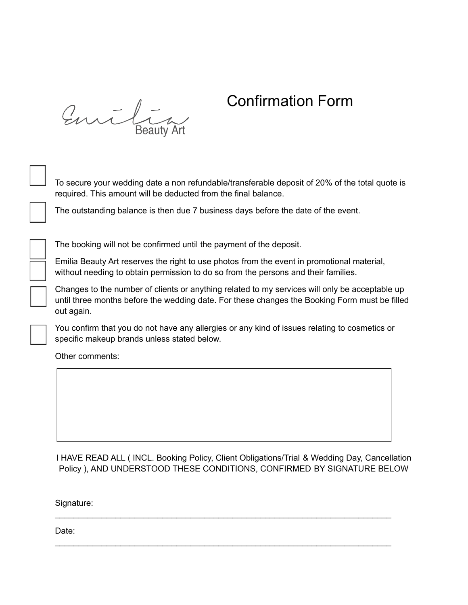## Confirmation Form

Emili

To secure your wedding date a non refundable/transferable deposit of 20% of the total quote is required. This amount will be deducted from the final balance.

The outstanding balance is then due 7 business days before the date of the event.

The booking will not be confirmed until the payment of the deposit.

Emilia Beauty Art reserves the right to use photos from the event in promotional material, without needing to obtain permission to do so from the persons and their families.

Changes to the number of clients or anything related to my services will only be acceptable up until three months before the wedding date. For these changes the Booking Form must be filled out again.

You confirm that you do not have any allergies or any kind of issues relating to cosmetics or specific makeup brands unless stated below.

Other comments:

I HAVE READ ALL ( INCL. Booking Policy, Client Obligations/Trial & Wedding Day, Cancellation Policy ), AND UNDERSTOOD THESE CONDITIONS, CONFIRMED BY SIGNATURE BELOW

\_\_\_\_\_\_\_\_\_\_\_\_\_\_\_\_\_\_\_\_\_\_\_\_\_\_\_\_\_\_\_\_\_\_\_\_\_\_\_\_\_\_\_\_\_\_\_\_\_\_\_\_\_\_\_\_\_\_\_\_\_\_\_\_\_\_\_\_\_\_\_\_

\_\_\_\_\_\_\_\_\_\_\_\_\_\_\_\_\_\_\_\_\_\_\_\_\_\_\_\_\_\_\_\_\_\_\_\_\_\_\_\_\_\_\_\_\_\_\_\_\_\_\_\_\_\_\_\_\_\_\_\_\_\_\_\_\_\_\_\_\_\_\_\_

Signature:

Date: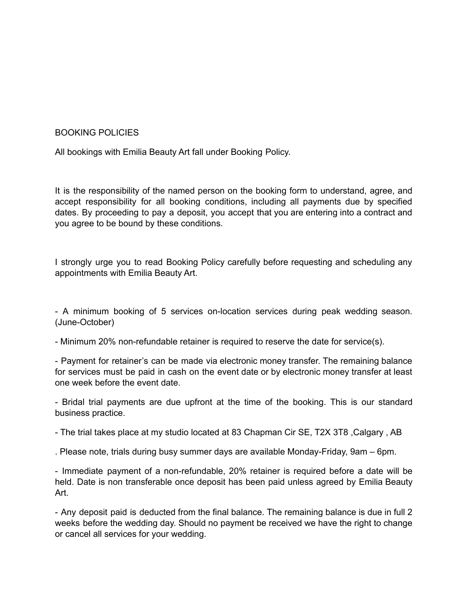#### BOOKING POLICIES

All bookings with Emilia Beauty Art fall under Booking Policy.

It is the responsibility of the named person on the booking form to understand, agree, and accept responsibility for all booking conditions, including all payments due by specified dates. By proceeding to pay a deposit, you accept that you are entering into a contract and you agree to be bound by these conditions.

I strongly urge you to read Booking Policy carefully before requesting and scheduling any appointments with Emilia Beauty Art.

- A minimum booking of 5 services on-location services during peak wedding season. (June-October)

- Minimum 20% non-refundable retainer is required to reserve the date for service(s).

- Payment for retainer's can be made via electronic money transfer. The remaining balance for services must be paid in cash on the event date or by electronic money transfer at least one week before the event date.

- Bridal trial payments are due upfront at the time of the booking. This is our standard business practice.

- The trial takes place at my studio located at 83 Chapman Cir SE, T2X 3T8 ,Calgary , AB

. Please note, trials during busy summer days are available Monday-Friday, 9am – 6pm.

- Immediate payment of a non-refundable, 20% retainer is required before a date will be held. Date is non transferable once deposit has been paid unless agreed by Emilia Beauty Art.

- Any deposit paid is deducted from the final balance. The remaining balance is due in full 2 weeks before the wedding day. Should no payment be received we have the right to change or cancel all services for your wedding.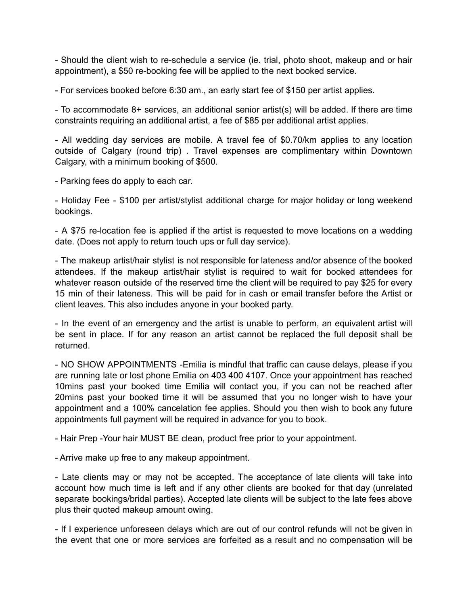- Should the client wish to re-schedule a service (ie. trial, photo shoot, makeup and or hair appointment), a \$50 re-booking fee will be applied to the next booked service.

- For services booked before 6:30 am., an early start fee of \$150 per artist applies.

- To accommodate 8+ services, an additional senior artist(s) will be added. If there are time constraints requiring an additional artist, a fee of \$85 per additional artist applies.

- All wedding day services are mobile. A travel fee of \$0.70/km applies to any location outside of Calgary (round trip) . Travel expenses are complimentary within Downtown Calgary, with a minimum booking of \$500.

- Parking fees do apply to each car.

- Holiday Fee - \$100 per artist/stylist additional charge for major holiday or long weekend bookings.

- A \$75 re-location fee is applied if the artist is requested to move locations on a wedding date. (Does not apply to return touch ups or full day service).

- The makeup artist/hair stylist is not responsible for lateness and/or absence of the booked attendees. If the makeup artist/hair stylist is required to wait for booked attendees for whatever reason outside of the reserved time the client will be required to pay \$25 for every 15 min of their lateness. This will be paid for in cash or email transfer before the Artist or client leaves. This also includes anyone in your booked party.

- In the event of an emergency and the artist is unable to perform, an equivalent artist will be sent in place. If for any reason an artist cannot be replaced the full deposit shall be returned.

- NO SHOW APPOINTMENTS -Emilia is mindful that traffic can cause delays, please if you are running late or lost phone Emilia on 403 400 4107. Once your appointment has reached 10mins past your booked time Emilia will contact you, if you can not be reached after 20mins past your booked time it will be assumed that you no longer wish to have your appointment and a 100% cancelation fee applies. Should you then wish to book any future appointments full payment will be required in advance for you to book.

- Hair Prep -Your hair MUST BE clean, product free prior to your appointment.

- Arrive make up free to any makeup appointment.

- Late clients may or may not be accepted. The acceptance of late clients will take into account how much time is left and if any other clients are booked for that day (unrelated separate bookings/bridal parties). Accepted late clients will be subject to the late fees above plus their quoted makeup amount owing.

- If I experience unforeseen delays which are out of our control refunds will not be given in the event that one or more services are forfeited as a result and no compensation will be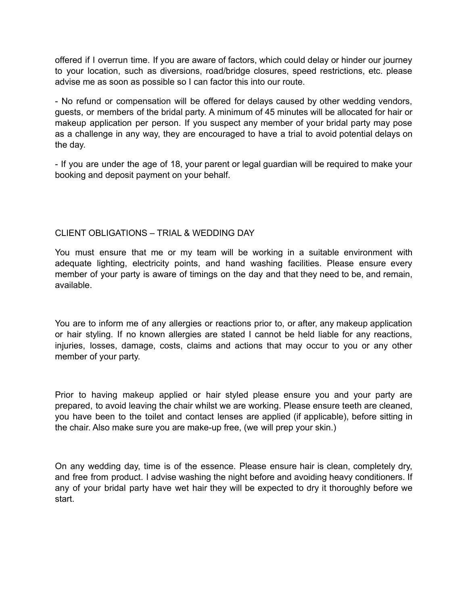offered if I overrun time. If you are aware of factors, which could delay or hinder our journey to your location, such as diversions, road/bridge closures, speed restrictions, etc. please advise me as soon as possible so I can factor this into our route.

- No refund or compensation will be offered for delays caused by other wedding vendors, guests, or members of the bridal party. A minimum of 45 minutes will be allocated for hair or makeup application per person. If you suspect any member of your bridal party may pose as a challenge in any way, they are encouraged to have a trial to avoid potential delays on the day.

- If you are under the age of 18, your parent or legal guardian will be required to make your booking and deposit payment on your behalf.

#### CLIENT OBLIGATIONS – TRIAL & WEDDING DAY

You must ensure that me or my team will be working in a suitable environment with adequate lighting, electricity points, and hand washing facilities. Please ensure every member of your party is aware of timings on the day and that they need to be, and remain, available.

You are to inform me of any allergies or reactions prior to, or after, any makeup application or hair styling. If no known allergies are stated I cannot be held liable for any reactions, injuries, losses, damage, costs, claims and actions that may occur to you or any other member of your party.

Prior to having makeup applied or hair styled please ensure you and your party are prepared, to avoid leaving the chair whilst we are working. Please ensure teeth are cleaned, you have been to the toilet and contact lenses are applied (if applicable), before sitting in the chair. Also make sure you are make-up free, (we will prep your skin.)

On any wedding day, time is of the essence. Please ensure hair is clean, completely dry, and free from product. I advise washing the night before and avoiding heavy conditioners. If any of your bridal party have wet hair they will be expected to dry it thoroughly before we start.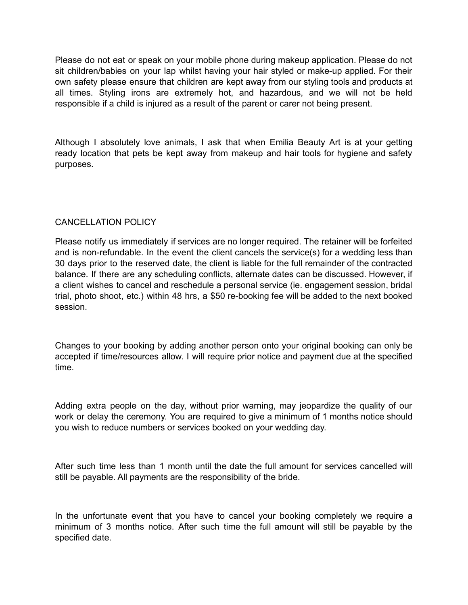Please do not eat or speak on your mobile phone during makeup application. Please do not sit children/babies on your lap whilst having your hair styled or make-up applied. For their own safety please ensure that children are kept away from our styling tools and products at all times. Styling irons are extremely hot, and hazardous, and we will not be held responsible if a child is injured as a result of the parent or carer not being present.

Although I absolutely love animals, I ask that when Emilia Beauty Art is at your getting ready location that pets be kept away from makeup and hair tools for hygiene and safety purposes.

### CANCELLATION POLICY

Please notify us immediately if services are no longer required. The retainer will be forfeited and is non-refundable. In the event the client cancels the service(s) for a wedding less than 30 days prior to the reserved date, the client is liable for the full remainder of the contracted balance. If there are any scheduling conflicts, alternate dates can be discussed. However, if a client wishes to cancel and reschedule a personal service (ie. engagement session, bridal trial, photo shoot, etc.) within 48 hrs, a \$50 re-booking fee will be added to the next booked session.

Changes to your booking by adding another person onto your original booking can only be accepted if time/resources allow. I will require prior notice and payment due at the specified time.

Adding extra people on the day, without prior warning, may jeopardize the quality of our work or delay the ceremony. You are required to give a minimum of 1 months notice should you wish to reduce numbers or services booked on your wedding day.

After such time less than 1 month until the date the full amount for services cancelled will still be payable. All payments are the responsibility of the bride.

In the unfortunate event that you have to cancel your booking completely we require a minimum of 3 months notice. After such time the full amount will still be payable by the specified date.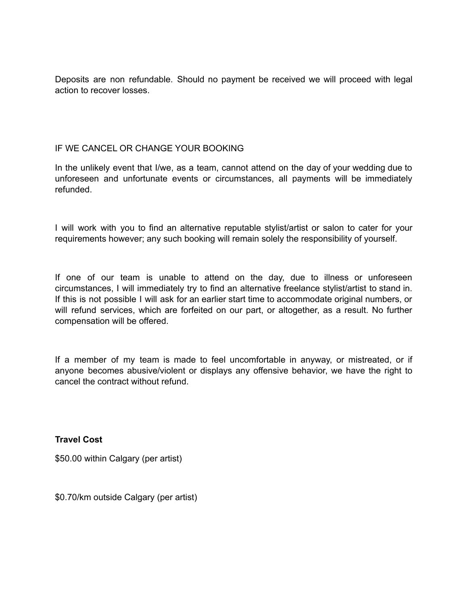Deposits are non refundable. Should no payment be received we will proceed with legal action to recover losses.

### IF WE CANCEL OR CHANGE YOUR BOOKING

In the unlikely event that I/we, as a team, cannot attend on the day of your wedding due to unforeseen and unfortunate events or circumstances, all payments will be immediately refunded.

I will work with you to find an alternative reputable stylist/artist or salon to cater for your requirements however; any such booking will remain solely the responsibility of yourself.

If one of our team is unable to attend on the day, due to illness or unforeseen circumstances, I will immediately try to find an alternative freelance stylist/artist to stand in. If this is not possible I will ask for an earlier start time to accommodate original numbers, or will refund services, which are forfeited on our part, or altogether, as a result. No further compensation will be offered.

If a member of my team is made to feel uncomfortable in anyway, or mistreated, or if anyone becomes abusive/violent or displays any offensive behavior, we have the right to cancel the contract without refund.

**Travel Cost**

\$50.00 within Calgary (per artist)

\$0.70/km outside Calgary (per artist)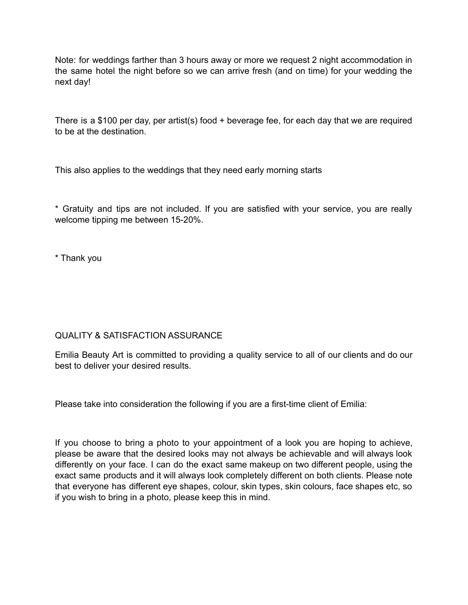Note: for weddings farther than 3 hours away or more we request 2 night accommodation in the same hotel the night before so we can arrive fresh (and on time) for your wedding the next day!

There is a \$100 per day, per artist(s) food + beverage fee, for each day that we are required to be at the destination.

This also applies to the weddings that they need early morning starts

\* Gratuity and tips are not included. If you are satisfied with your service, you are really welcome tipping me between 15-20%.

\* Thank you

## QUALITY & SATISFACTION ASSURANCE

Emilia Beauty Art is committed to providing a quality service to all of our clients and do our best to deliver your desired results.

Please take into consideration the following if you are a first-time client of Emilia:

If you choose to bring a photo to your appointment of a look you are hoping to achieve, please be aware that the desired looks may not always be achievable and will always look differently on your face. I can do the exact same makeup on two different people, using the exact same products and it will always look completely different on both clients. Please note that everyone has different eye shapes, colour, skin types, skin colours, face shapes etc, so if you wish to bring in a photo, please keep this in mind.